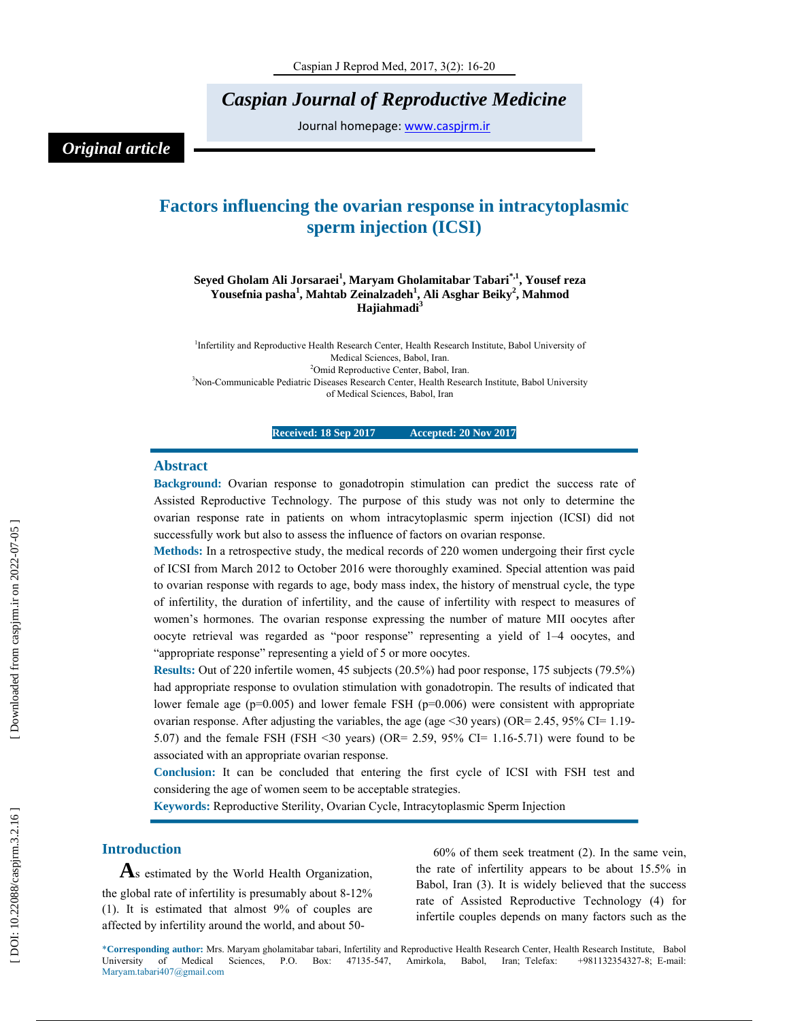*Caspian Journal of Reproductive Medicine* 

Journal homepage: www.caspjrm.ir

## *Original article*

# **Factors influencing the ovarian response in intracytoplasmic sperm injection (ICSI)**

#### **Seyed Gholam Ali Jorsaraei 1 , Maryam Gholamitabar Tabari\*,1, Yousef reza Yousefnia pasha 1 , Mahtab Zeinalzadeh 1 , Ali Asghar Beiky 2 , Mahmod Hajiahmadi 3**

<sup>1</sup>Infertility and Reproductive Health Research Center, Health Research Institute, Babol University of Medical Sciences, Babol, Iran. 2 Omid Reproductive Center, Babol, Iran. <sup>3</sup>Non-Communicable Pediatric Diseases Research Center, Health Research Institute, Babol University of Medical Sciences, Babol, Iran

**Received: 18 Sep 2017 Accepted: 20 Nov 2017** 

#### **Abstract**

**Background:** Ovarian response to gonadotropin stimulation can predict the success rate of Assisted Reproductive Technology. The purpose of this study was not only to determine the ovarian response rate in patients on whom intracytoplasmic sperm injection (ICSI) did not successfully work but also to assess the influence of factors on ovarian response.

**Methods:** In a retrospective study, the medical records of 220 women undergoing their first cycle of ICSI from March 2012 to October 2016 were thoroughly examined. Special attention was paid to ovarian response with regards to age, body mass index, the history of menstrual cycle, the type of infertility, the duration of infertility, and the cause of infertility with respect to measures of women's hormones. The ovarian response expressing the number of mature MII oocytes after oocyte retrieval was regarded as "poor response" representing a yield of 1–4 oocytes, and "appropriate response" representing a yield of 5 or more oocytes.

**Results:** Out of 220 infertile women, 45 subjects (20.5%) had poor response, 175 subjects (79.5%) had appropriate response to ovulation stimulation with gonadotropin. The results of indicated that lower female age  $(p=0.005)$  and lower female FSH  $(p=0.006)$  were consistent with appropriate ovarian response. After adjusting the variables, the age (age  $\leq$  30 years) (OR= 2.45, 95% CI= 1.19-5.07) and the female FSH (FSH <30 years) (OR= 2.59, 95% CI= 1.16-5.71) were found to be associated with an appropriate ovarian response.

**Conclusion:** It can be concluded that entering the first cycle of ICSI with FSH test and considering the age of women seem to be acceptable strategies.

**Keywords:** Reproductive Sterility, Ovarian Cycle, Intracytoplasmic Sperm Injection

**Introduction**<br>**As** estimated by the World Health Organization, the global rate of infertility is presumably about 8-12% (1). It is estimated that almost 9% of couples are affected by infertility around the world, and about 50-

60% of them seek treatment (2). In the same vein, the rate of infertility appears to be about 15.5% in Babol, Iran (3). It is widely believed that the success rate of Assisted Reproductive Technology (4) for infertile couples depends on many factors such as the

\***Corresponding author:** Mrs. Maryam gholamitabar tabari, Infertility and Reproductive Health Research Center, Health Research Institute, Babol University of Medical Sciences, P.O. Box: 47135-547, Amirkola, Babol, Iran; Telefax: +981132354327-8; E-mail: Maryam.tabari407@gmail.com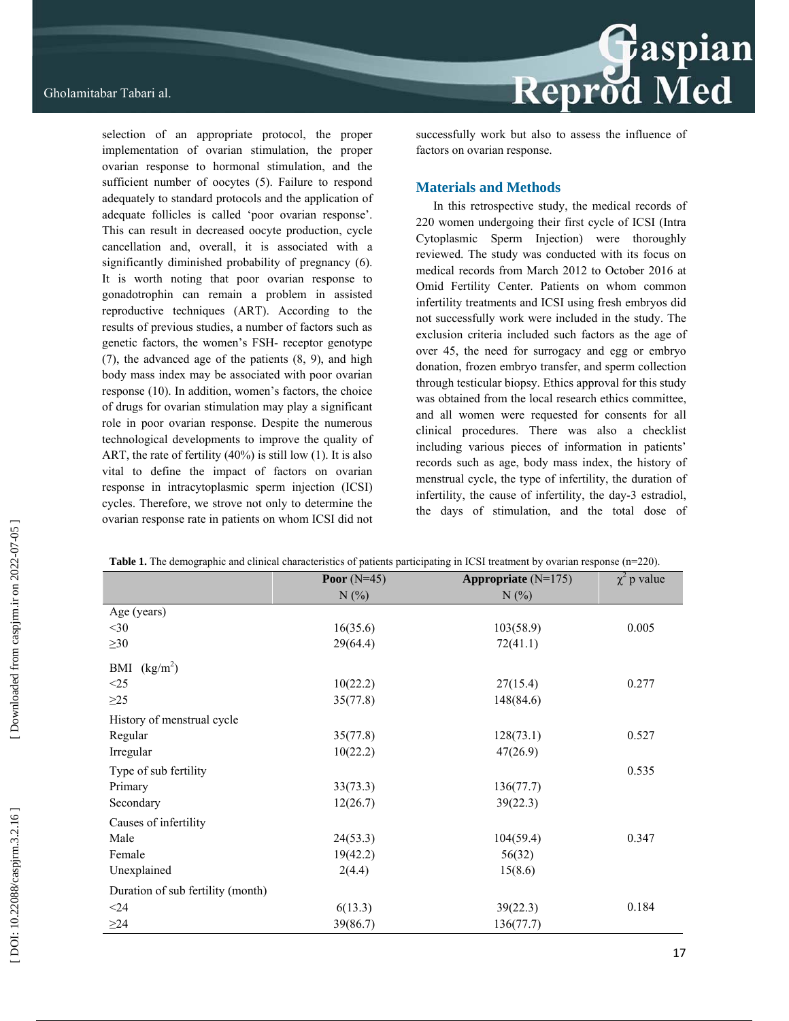selection of an appropriate protocol, the proper implementation of ovarian stimulation, the proper ovarian response to hormonal stimulation, and the sufficient number of oocytes (5). Failure to respond adequately to standard protocols and the application of adequate follicles is called 'poor ovarian response'. This can result in decreased oocyte production, cycle cancellation and, overall, it is associated with a significantly diminished probability of pregnancy (6). It is worth noting that poor ovarian response to gonadotrophin can remain a problem in assisted reproductive techniques (ART). According to the results of previous studies, a number of factors such as genetic factors, the women's FSH- receptor genotype (7), the advanced age of the patients (8, 9), and high body mass index may be associated with poor ovarian response (10). In addition, women's factors, the choice of drugs for ovarian stimulation may play a significant role in poor ovarian response. Despite the numerous technological developments to improve the quality of ART, the rate of fertility (40%) is still low (1). It is also vital to define the impact of factors on ovarian response in intracytoplasmic sperm injection (ICSI) cycles. Therefore, we strove not only to determine the ovarian response rate in patients on whom ICSI did not

Reprod Med

successfully work but also to assess the influence of factors on ovarian response.

#### **Materials and Methods**

In this retrospective study, the medical records of 220 women undergoing their first cycle of ICSI (Intra Cytoplasmic Sperm Injection) were thoroughly reviewed. The study was conducted with its focus on medical records from March 2012 to October 2016 at Omid Fertility Center. Patients on whom common infertility treatments and ICSI using fresh embryos did not successfully work were included in the study. The exclusion criteria included such factors as the age of over 45, the need for surrogacy and egg or embryo donation, frozen embryo transfer, and sperm collection through testicular biopsy. Ethics approval for this study was obtained from the local research ethics committee, and all women were requested for consents for all clinical procedures. There was also a checklist including various pieces of information in patients' records such as age, body mass index, the history of menstrual cycle, the type of infertility, the duration of infertility, the cause of infertility, the day-3 estradiol, the days of stimulation, and the total dose of

|                                   | Poor $(N=45)$ | Appropriate $(N=175)$ | $\chi^2$ p value |  |
|-----------------------------------|---------------|-----------------------|------------------|--|
|                                   | N(%           | N(%                   |                  |  |
| Age (years)                       |               |                       |                  |  |
| $<$ 30                            | 16(35.6)      | 103(58.9)             | 0.005            |  |
| $\geq 30$                         | 29(64.4)      | 72(41.1)              |                  |  |
| (kg/m <sup>2</sup> )<br>BMI       |               |                       |                  |  |
| <25                               | 10(22.2)      | 27(15.4)              | 0.277            |  |
| $\geq$ 25                         | 35(77.8)      | 148(84.6)             |                  |  |
| History of menstrual cycle        |               |                       |                  |  |
| Regular                           | 35(77.8)      | 128(73.1)             | 0.527            |  |
| Irregular                         | 10(22.2)      | 47(26.9)              |                  |  |
| Type of sub fertility             |               |                       | 0.535            |  |
| Primary                           | 33(73.3)      | 136(77.7)             |                  |  |
| Secondary                         | 12(26.7)      | 39(22.3)              |                  |  |
| Causes of infertility             |               |                       |                  |  |
| Male                              | 24(53.3)      | 104(59.4)             | 0.347            |  |
| Female                            | 19(42.2)      | 56(32)                |                  |  |
| Unexplained                       | 2(4.4)        | 15(8.6)               |                  |  |
| Duration of sub fertility (month) |               |                       |                  |  |
| $<$ 24                            | 6(13.3)       | 39(22.3)              | 0.184            |  |
| $\geq$ 24                         | 39(86.7)      | 136(77.7)             |                  |  |

|  | <b>Table 1.</b> The demographic and clinical characteristics of patients participating in ICSI treatment by ovarian response $(n=220)$ . |  |  |  |
|--|------------------------------------------------------------------------------------------------------------------------------------------|--|--|--|
|  |                                                                                                                                          |  |  |  |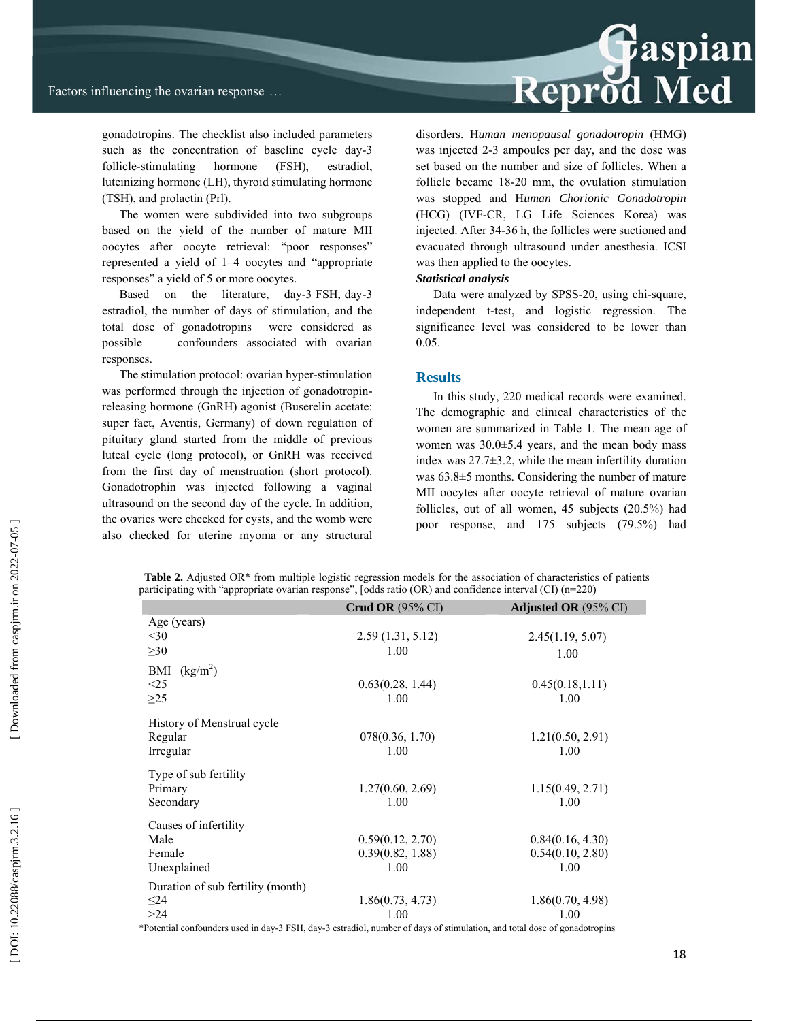

gonadotropins. The checklist also included parameters such as the concentration of baseline cycle day-3 follicle-stimulating hormone (FSH), estradiol, luteinizing hormone (LH), thyroid stimulating hormone (TSH), and prolactin (Prl).

The women were subdivided into two subgroups based on the yield of the number of mature MII oocytes after oocyte retrieval: "poor responses" represented a yield of 1–4 oocytes and "appropriate responses" a yield of 5 or more oocytes.

Based on the literature, day-3 FSH, day-3 estradiol, the number of days of stimulation, and the total dose of gonadotropins were considered as possible confounders associated with ovarian responses.

The stimulation protocol: ovarian hyper-stimulation was performed through the injection of gonadotropinreleasing hormone (GnRH) agonist (Buserelin acetate: super fact, Aventis, Germany) of down regulation of pituitary gland started from the middle of previous luteal cycle (long protocol), or GnRH was received from the first day of menstruation (short protocol). Gonadotrophin was injected following a vaginal ultrasound on the second day of the cycle. In addition, the ovaries were checked for cysts, and the womb were also checked for uterine myoma or any structural disorders. H*uman menopausal gonadotropin* (HMG) was injected 2-3 ampoules per day, and the dose was set based on the number and size of follicles. When a follicle became 18-20 mm, the ovulation stimulation was stopped and H*uman Chorionic Gonadotropin* (HCG) (IVF-CR, LG Life Sciences Korea) was injected. After 34-36 h, the follicles were suctioned and evacuated through ultrasound under anesthesia. ICSI was then applied to the oocytes.

#### *Statistical analysis*

Data were analyzed by SPSS-20, using chi-square, independent t-test, and logistic regression. The significance level was considered to be lower than 0.05.

#### **Results**

In this study, 220 medical records were examined. The demographic and clinical characteristics of the women are summarized in Table 1. The mean age of women was  $30.0 \pm 5.4$  years, and the mean body mass index was 27.7±3.2, while the mean infertility duration was 63.8±5 months. Considering the number of mature MII oocytes after oocyte retrieval of mature ovarian follicles, out of all women, 45 subjects (20.5%) had poor response, and 175 subjects (79.5%) had

| <b>Table 2.</b> Adjusted OR* from multiple logistic regression models for the association of characteristics of patients |  |
|--------------------------------------------------------------------------------------------------------------------------|--|
| participating with "appropriate ovarian response", [odds ratio (OR) and confidence interval (CI) $(n=220)$               |  |

|                                   | <b>Crud OR</b> $(95\% \text{ CI})$ | <b>Adjusted OR</b> (95% CI) |
|-----------------------------------|------------------------------------|-----------------------------|
| Age (years)                       |                                    |                             |
| $<$ 30                            | 2.59(1.31, 5.12)                   | 2.45(1.19, 5.07)            |
| $\geq 30$                         | 1.00                               | 1.00                        |
| (kg/m <sup>2</sup> )<br>BMI       |                                    |                             |
| $\leq$ 25                         | 0.63(0.28, 1.44)                   | 0.45(0.18, 1.11)            |
| $\geq$ 25                         | 1.00                               | 1.00                        |
| History of Menstrual cycle        |                                    |                             |
| Regular                           | 078(0.36, 1.70)                    | 1.21(0.50, 2.91)            |
| Irregular                         | 1.00                               | 1.00                        |
| Type of sub fertility             |                                    |                             |
| Primary                           | 1.27(0.60, 2.69)                   | 1.15(0.49, 2.71)            |
| Secondary                         | 1.00                               | 1.00                        |
| Causes of infertility             |                                    |                             |
| Male                              | 0.59(0.12, 2.70)                   | 0.84(0.16, 4.30)            |
| Female                            | 0.39(0.82, 1.88)                   | 0.54(0.10, 2.80)            |
| Unexplained                       | 1.00                               | 1.00                        |
| Duration of sub fertility (month) |                                    |                             |
| $\leq$ 24                         | 1.86(0.73, 4.73)                   | 1.86(0.70, 4.98)            |
| >24                               | 1.00                               | 1.00                        |

\*Potential confounders used in day-3 FSH, day-3 estradiol, number of days of stimulation, and total dose of gonadotropins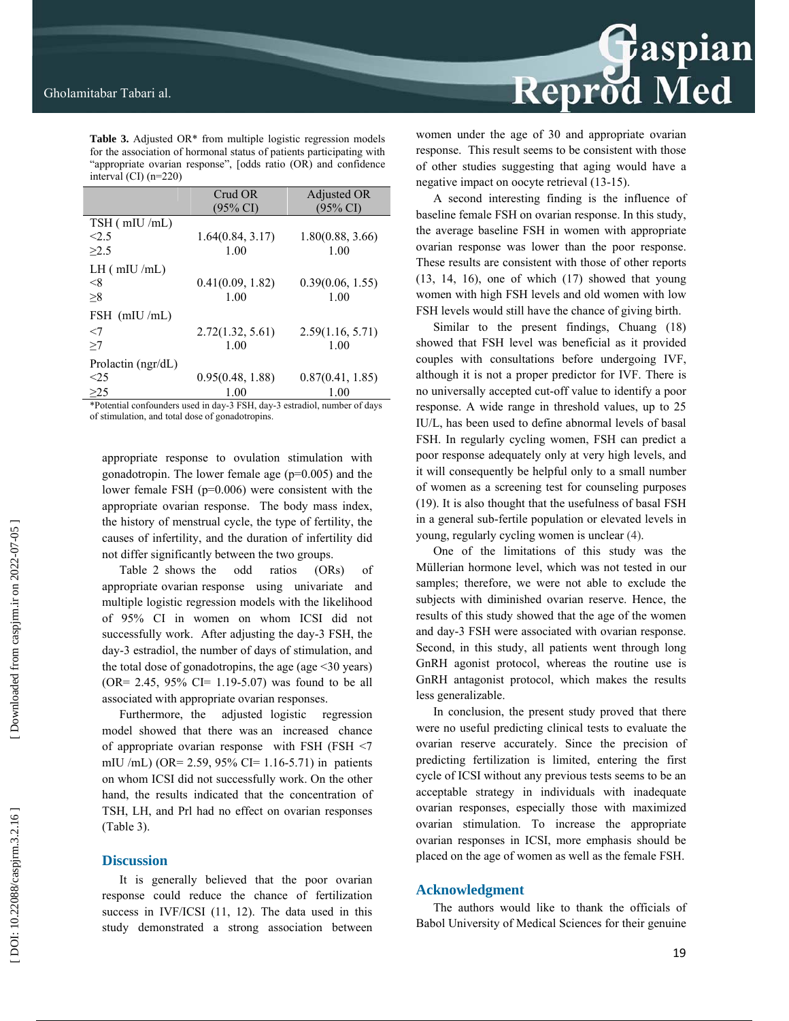**Table 3.** Adjusted OR\* from multiple logistic regression models for the association of hormonal status of patients participating with "appropriate ovarian response", [odds ratio (OR) and confidence interval (CI) (n=220)

|                      | Crud OR<br>$(95\% \text{ CI})$ | Adjusted OR<br>$(95\% \text{ CI})$ |
|----------------------|--------------------------------|------------------------------------|
| TSH (mIU/mL)         |                                |                                    |
| < 2.5                | 1.64(0.84, 3.17)               | 1.80(0.88, 3.66)                   |
| >2.5                 | 1.00                           | 1.00                               |
| $LH$ ( mIU /mL)      |                                |                                    |
| $<$ 8                | 0.41(0.09, 1.82)               | 0.39(0.06, 1.55)                   |
| >8                   | 1.00                           | 1.00                               |
| $FSH$ (mIU/mL)       |                                |                                    |
| $<$ 7                | 2.72(1.32, 5.61)               | 2.59(1.16, 5.71)                   |
| >7                   | 1.00                           | 1.00                               |
| Prolactin $(ngr/dL)$ |                                |                                    |
| <25                  | 0.95(0.48, 1.88)               | 0.87(0.41, 1.85)                   |
| >25                  | 1.00                           | 1.00                               |

\*Potential confounders used in day-3 FSH, day-3 estradiol, number of days of stimulation, and total dose of gonadotropins.

appropriate response to ovulation stimulation with gonadotropin. The lower female age (p=0.005) and the lower female FSH (p=0.006) were consistent with the appropriate ovarian response. The body mass index, the history of menstrual cycle, the type of fertility, the causes of infertility, and the duration of infertility did not differ significantly between the two groups.

Table 2 shows the odd ratios (ORs) of appropriate ovarian response using univariate and multiple logistic regression models with the likelihood of 95% CI in women on whom ICSI did not successfully work. After adjusting the day-3 FSH, the day-3 estradiol, the number of days of stimulation, and the total dose of gonadotropins, the age (age  $\leq$ 30 years)  $(OR = 2.45, 95\% \text{ CI} = 1.19 - 5.07)$  was found to be all associated with appropriate ovarian responses.

Furthermore, the adjusted logistic regression model showed that there was an increased chance of appropriate ovarian response with FSH (FSH <7 mIU /mL) (OR= 2.59, 95% CI= 1.16-5.71) in patients on whom ICSI did not successfully work. On the other hand, the results indicated that the concentration of TSH, LH, and Prl had no effect on ovarian responses (Table 3).

#### **Discussion**

It is generally believed that the poor ovarian response could reduce the chance of fertilization success in IVF/ICSI (11, 12). The data used in this study demonstrated a strong association between

# **Reprod Med**

women under the age of 30 and appropriate ovarian response. This result seems to be consistent with those of other studies suggesting that aging would have a negative impact on oocyte retrieval (13-15).

A second interesting finding is the influence of baseline female FSH on ovarian response. In this study, the average baseline FSH in women with appropriate ovarian response was lower than the poor response. These results are consistent with those of other reports (13, 14, 16), one of which (17) showed that young women with high FSH levels and old women with low FSH levels would still have the chance of giving birth.

Similar to the present findings, Chuang (18) showed that FSH level was beneficial as it provided couples with consultations before undergoing IVF, although it is not a proper predictor for IVF. There is no universally accepted cut-off value to identify a poor response. A wide range in threshold values, up to 25 IU/L, has been used to define abnormal levels of basal FSH. In regularly cycling women, FSH can predict a poor response adequately only at very high levels, and it will consequently be helpful only to a small number of women as a screening test for counseling purposes (19). It is also thought that the usefulness of basal FSH in a general sub-fertile population or elevated levels in young, regularly cycling women is unclear (4).

One of the limitations of this study was the Müllerian hormone level, which was not tested in our samples; therefore, we were not able to exclude the subjects with diminished ovarian reserve. Hence, the results of this study showed that the age of the women and day-3 FSH were associated with ovarian response. Second, in this study, all patients went through long GnRH agonist protocol, whereas the routine use is GnRH antagonist protocol, which makes the results less generalizable.

In conclusion, the present study proved that there were no useful predicting clinical tests to evaluate the ovarian reserve accurately. Since the precision of predicting fertilization is limited, entering the first cycle of ICSI without any previous tests seems to be an acceptable strategy in individuals with inadequate ovarian responses, especially those with maximized ovarian stimulation. To increase the appropriate ovarian responses in ICSI, more emphasis should be placed on the age of women as well as the female FSH.

### **Acknowledgment**

The authors would like to thank the officials of Babol University of Medical Sciences for their genuine